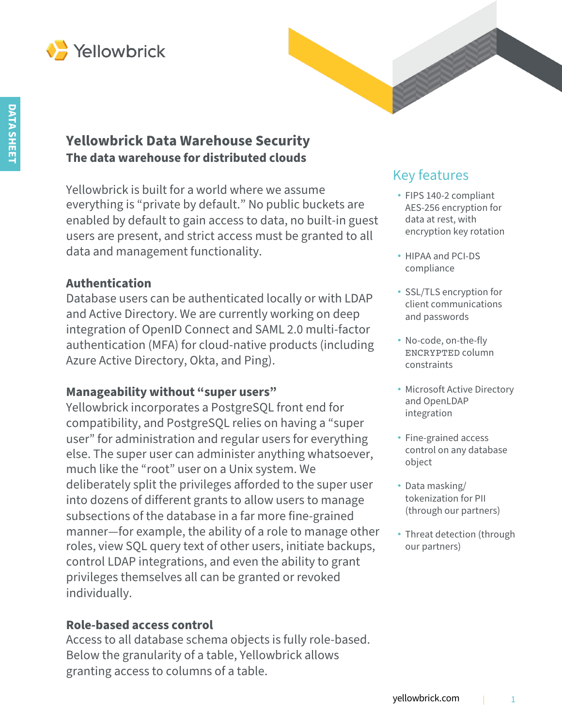

# **Yellowbrick Data Warehouse Security The data warehouse for distributed clouds**

Yellowbrick is built for a world where we assume everything is "private by default." No public buckets are enabled by default to gain access to data, no built-in guest users are present, and strict access must be granted to all data and management functionality.

### **Authentication**

Database users can be authenticated locally or with LDAP and Active Directory. We are currently working on deep integration of OpenID Connect and SAML 2.0 multi-factor authentication (MFA) for cloud-native products (including Azure Active Directory, Okta, and Ping).

### **Manageability without "super users"**

Yellowbrick incorporates a PostgreSQL front end for compatibility, and PostgreSQL relies on having a "super user" for administration and regular users for everything else. The super user can administer anything whatsoever, much like the "root" user on a Unix system. We deliberately split the privileges afforded to the super user into dozens of different grants to allow users to manage subsections of the database in a far more fine-grained manner—for example, the ability of a role to manage other roles, view SQL query text of other users, initiate backups, control LDAP integrations, and even the ability to grant privileges themselves all can be granted or revoked individually.

#### **Role-based access control**

Access to all database schema objects is fully role-based. Below the granularity of a table, Yellowbrick allows granting access to columns of a table.

# Key features

- FIPS 140-2 compliant AES-256 encryption for data at rest, with encryption key rotation
- HIPAA and PCI-DS compliance
- SSL/TLS encryption for client communications and passwords
- No-code, on-the-fly ENCRYPTED column constraints
- Microsoft Active Directory and OpenLDAP integration
- Fine-grained access control on any database object
- Data masking/ tokenization for PII (through our partners)
- Threat detection (through our partners)